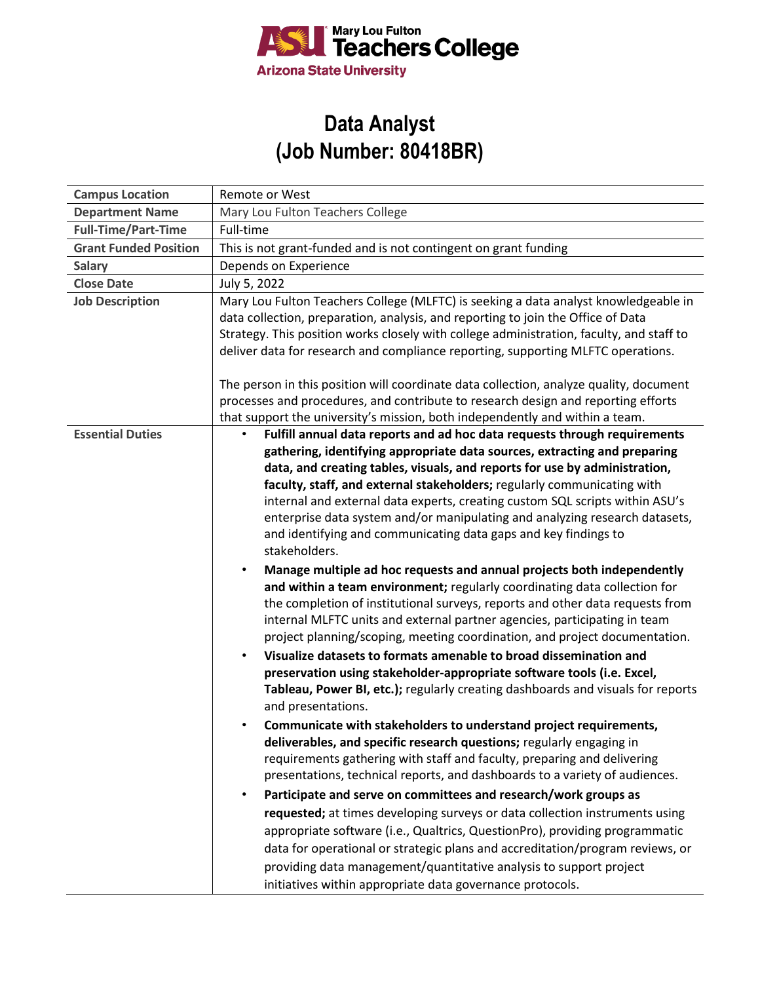

## **Data Analyst (Job Number: 80418BR)**

| <b>Campus Location</b>       | Remote or West                                                                                                                                                              |
|------------------------------|-----------------------------------------------------------------------------------------------------------------------------------------------------------------------------|
| <b>Department Name</b>       | Mary Lou Fulton Teachers College                                                                                                                                            |
| <b>Full-Time/Part-Time</b>   | Full-time                                                                                                                                                                   |
| <b>Grant Funded Position</b> | This is not grant-funded and is not contingent on grant funding                                                                                                             |
| <b>Salary</b>                | Depends on Experience                                                                                                                                                       |
| <b>Close Date</b>            | July 5, 2022                                                                                                                                                                |
| <b>Job Description</b>       | Mary Lou Fulton Teachers College (MLFTC) is seeking a data analyst knowledgeable in                                                                                         |
|                              | data collection, preparation, analysis, and reporting to join the Office of Data                                                                                            |
|                              | Strategy. This position works closely with college administration, faculty, and staff to                                                                                    |
|                              | deliver data for research and compliance reporting, supporting MLFTC operations.                                                                                            |
|                              |                                                                                                                                                                             |
|                              | The person in this position will coordinate data collection, analyze quality, document<br>processes and procedures, and contribute to research design and reporting efforts |
|                              | that support the university's mission, both independently and within a team.                                                                                                |
| <b>Essential Duties</b>      | Fulfill annual data reports and ad hoc data requests through requirements                                                                                                   |
|                              | gathering, identifying appropriate data sources, extracting and preparing                                                                                                   |
|                              | data, and creating tables, visuals, and reports for use by administration,                                                                                                  |
|                              | faculty, staff, and external stakeholders; regularly communicating with                                                                                                     |
|                              | internal and external data experts, creating custom SQL scripts within ASU's                                                                                                |
|                              | enterprise data system and/or manipulating and analyzing research datasets,                                                                                                 |
|                              | and identifying and communicating data gaps and key findings to                                                                                                             |
|                              | stakeholders.                                                                                                                                                               |
|                              | Manage multiple ad hoc requests and annual projects both independently                                                                                                      |
|                              | and within a team environment; regularly coordinating data collection for                                                                                                   |
|                              | the completion of institutional surveys, reports and other data requests from                                                                                               |
|                              | internal MLFTC units and external partner agencies, participating in team                                                                                                   |
|                              | project planning/scoping, meeting coordination, and project documentation.                                                                                                  |
|                              | Visualize datasets to formats amenable to broad dissemination and<br>$\bullet$                                                                                              |
|                              | preservation using stakeholder-appropriate software tools (i.e. Excel,                                                                                                      |
|                              | Tableau, Power BI, etc.); regularly creating dashboards and visuals for reports<br>and presentations.                                                                       |
|                              |                                                                                                                                                                             |
|                              | Communicate with stakeholders to understand project requirements,<br>deliverables, and specific research questions; regularly engaging in                                   |
|                              | requirements gathering with staff and faculty, preparing and delivering                                                                                                     |
|                              | presentations, technical reports, and dashboards to a variety of audiences.                                                                                                 |
|                              | Participate and serve on committees and research/work groups as                                                                                                             |
|                              | requested; at times developing surveys or data collection instruments using                                                                                                 |
|                              | appropriate software (i.e., Qualtrics, QuestionPro), providing programmatic                                                                                                 |
|                              | data for operational or strategic plans and accreditation/program reviews, or                                                                                               |
|                              | providing data management/quantitative analysis to support project                                                                                                          |
|                              | initiatives within appropriate data governance protocols.                                                                                                                   |
|                              |                                                                                                                                                                             |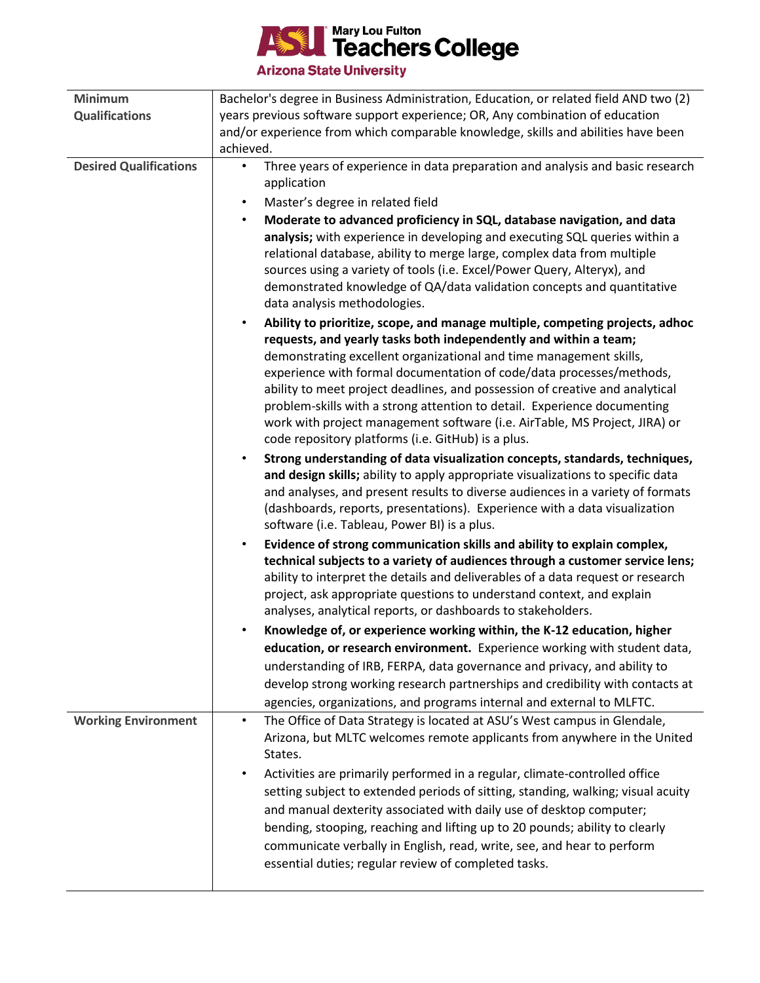

**Arizona State University** 

| <b>Minimum</b>                | Bachelor's degree in Business Administration, Education, or related field AND two (2)                                                                                                                                                                                                                                                                                                                                                                                                                          |
|-------------------------------|----------------------------------------------------------------------------------------------------------------------------------------------------------------------------------------------------------------------------------------------------------------------------------------------------------------------------------------------------------------------------------------------------------------------------------------------------------------------------------------------------------------|
| <b>Qualifications</b>         | years previous software support experience; OR, Any combination of education                                                                                                                                                                                                                                                                                                                                                                                                                                   |
|                               | and/or experience from which comparable knowledge, skills and abilities have been                                                                                                                                                                                                                                                                                                                                                                                                                              |
|                               | achieved.                                                                                                                                                                                                                                                                                                                                                                                                                                                                                                      |
| <b>Desired Qualifications</b> | Three years of experience in data preparation and analysis and basic research<br>$\bullet$<br>application                                                                                                                                                                                                                                                                                                                                                                                                      |
|                               | Master's degree in related field<br>$\bullet$                                                                                                                                                                                                                                                                                                                                                                                                                                                                  |
|                               | Moderate to advanced proficiency in SQL, database navigation, and data<br>$\bullet$<br>analysis; with experience in developing and executing SQL queries within a<br>relational database, ability to merge large, complex data from multiple<br>sources using a variety of tools (i.e. Excel/Power Query, Alteryx), and<br>demonstrated knowledge of QA/data validation concepts and quantitative<br>data analysis methodologies.                                                                              |
|                               | Ability to prioritize, scope, and manage multiple, competing projects, adhoc<br>$\bullet$                                                                                                                                                                                                                                                                                                                                                                                                                      |
|                               | requests, and yearly tasks both independently and within a team;<br>demonstrating excellent organizational and time management skills,<br>experience with formal documentation of code/data processes/methods,<br>ability to meet project deadlines, and possession of creative and analytical<br>problem-skills with a strong attention to detail. Experience documenting<br>work with project management software (i.e. AirTable, MS Project, JIRA) or<br>code repository platforms (i.e. GitHub) is a plus. |
|                               | Strong understanding of data visualization concepts, standards, techniques,<br>$\bullet$<br>and design skills; ability to apply appropriate visualizations to specific data<br>and analyses, and present results to diverse audiences in a variety of formats<br>(dashboards, reports, presentations). Experience with a data visualization<br>software (i.e. Tableau, Power BI) is a plus.                                                                                                                    |
|                               | Evidence of strong communication skills and ability to explain complex,<br>$\bullet$<br>technical subjects to a variety of audiences through a customer service lens;<br>ability to interpret the details and deliverables of a data request or research<br>project, ask appropriate questions to understand context, and explain<br>analyses, analytical reports, or dashboards to stakeholders.                                                                                                              |
|                               | Knowledge of, or experience working within, the K-12 education, higher                                                                                                                                                                                                                                                                                                                                                                                                                                         |
|                               | education, or research environment. Experience working with student data,<br>understanding of IRB, FERPA, data governance and privacy, and ability to<br>develop strong working research partnerships and credibility with contacts at                                                                                                                                                                                                                                                                         |
|                               | agencies, organizations, and programs internal and external to MLFTC.                                                                                                                                                                                                                                                                                                                                                                                                                                          |
| <b>Working Environment</b>    | The Office of Data Strategy is located at ASU's West campus in Glendale,<br>$\bullet$<br>Arizona, but MLTC welcomes remote applicants from anywhere in the United<br>States.                                                                                                                                                                                                                                                                                                                                   |
|                               | Activities are primarily performed in a regular, climate-controlled office<br>setting subject to extended periods of sitting, standing, walking; visual acuity<br>and manual dexterity associated with daily use of desktop computer;<br>bending, stooping, reaching and lifting up to 20 pounds; ability to clearly<br>communicate verbally in English, read, write, see, and hear to perform<br>essential duties; regular review of completed tasks.                                                         |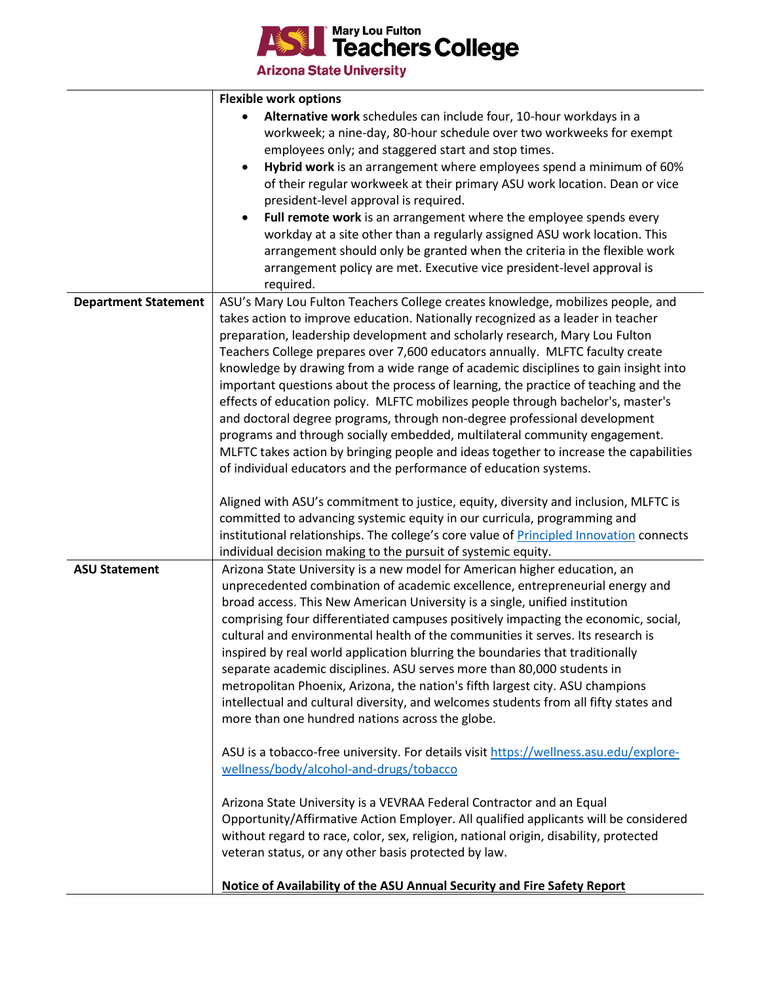**Teachers College** A

**Arizona State University** 

|                             | <b>Flexible work options</b>                                                                                                                                                                                                                                                                                                                                                                                                                                                                                                                                                                                                                                                                                                                                                                                                                                                                                                  |
|-----------------------------|-------------------------------------------------------------------------------------------------------------------------------------------------------------------------------------------------------------------------------------------------------------------------------------------------------------------------------------------------------------------------------------------------------------------------------------------------------------------------------------------------------------------------------------------------------------------------------------------------------------------------------------------------------------------------------------------------------------------------------------------------------------------------------------------------------------------------------------------------------------------------------------------------------------------------------|
|                             | Alternative work schedules can include four, 10-hour workdays in a<br>workweek; a nine-day, 80-hour schedule over two workweeks for exempt<br>employees only; and staggered start and stop times.                                                                                                                                                                                                                                                                                                                                                                                                                                                                                                                                                                                                                                                                                                                             |
|                             | Hybrid work is an arrangement where employees spend a minimum of 60%<br>of their regular workweek at their primary ASU work location. Dean or vice<br>president-level approval is required.                                                                                                                                                                                                                                                                                                                                                                                                                                                                                                                                                                                                                                                                                                                                   |
|                             | Full remote work is an arrangement where the employee spends every<br>workday at a site other than a regularly assigned ASU work location. This<br>arrangement should only be granted when the criteria in the flexible work<br>arrangement policy are met. Executive vice president-level approval is<br>required.                                                                                                                                                                                                                                                                                                                                                                                                                                                                                                                                                                                                           |
| <b>Department Statement</b> | ASU's Mary Lou Fulton Teachers College creates knowledge, mobilizes people, and<br>takes action to improve education. Nationally recognized as a leader in teacher<br>preparation, leadership development and scholarly research, Mary Lou Fulton<br>Teachers College prepares over 7,600 educators annually. MLFTC faculty create<br>knowledge by drawing from a wide range of academic disciplines to gain insight into<br>important questions about the process of learning, the practice of teaching and the<br>effects of education policy. MLFTC mobilizes people through bachelor's, master's<br>and doctoral degree programs, through non-degree professional development<br>programs and through socially embedded, multilateral community engagement.<br>MLFTC takes action by bringing people and ideas together to increase the capabilities<br>of individual educators and the performance of education systems. |
|                             | Aligned with ASU's commitment to justice, equity, diversity and inclusion, MLFTC is<br>committed to advancing systemic equity in our curricula, programming and<br>institutional relationships. The college's core value of Principled Innovation connects<br>individual decision making to the pursuit of systemic equity.                                                                                                                                                                                                                                                                                                                                                                                                                                                                                                                                                                                                   |
| <b>ASU Statement</b>        | Arizona State University is a new model for American higher education, an<br>unprecedented combination of academic excellence, entrepreneurial energy and<br>broad access. This New American University is a single, unified institution<br>comprising four differentiated campuses positively impacting the economic, social,<br>cultural and environmental health of the communities it serves. Its research is<br>inspired by real world application blurring the boundaries that traditionally<br>separate academic disciplines. ASU serves more than 80,000 students in<br>metropolitan Phoenix, Arizona, the nation's fifth largest city. ASU champions<br>intellectual and cultural diversity, and welcomes students from all fifty states and<br>more than one hundred nations across the globe.                                                                                                                      |
|                             | ASU is a tobacco-free university. For details visit https://wellness.asu.edu/explore-<br>wellness/body/alcohol-and-drugs/tobacco                                                                                                                                                                                                                                                                                                                                                                                                                                                                                                                                                                                                                                                                                                                                                                                              |
|                             | Arizona State University is a VEVRAA Federal Contractor and an Equal<br>Opportunity/Affirmative Action Employer. All qualified applicants will be considered<br>without regard to race, color, sex, religion, national origin, disability, protected<br>veteran status, or any other basis protected by law.                                                                                                                                                                                                                                                                                                                                                                                                                                                                                                                                                                                                                  |
|                             | Notice of Availability of the ASU Annual Security and Fire Safety Report                                                                                                                                                                                                                                                                                                                                                                                                                                                                                                                                                                                                                                                                                                                                                                                                                                                      |